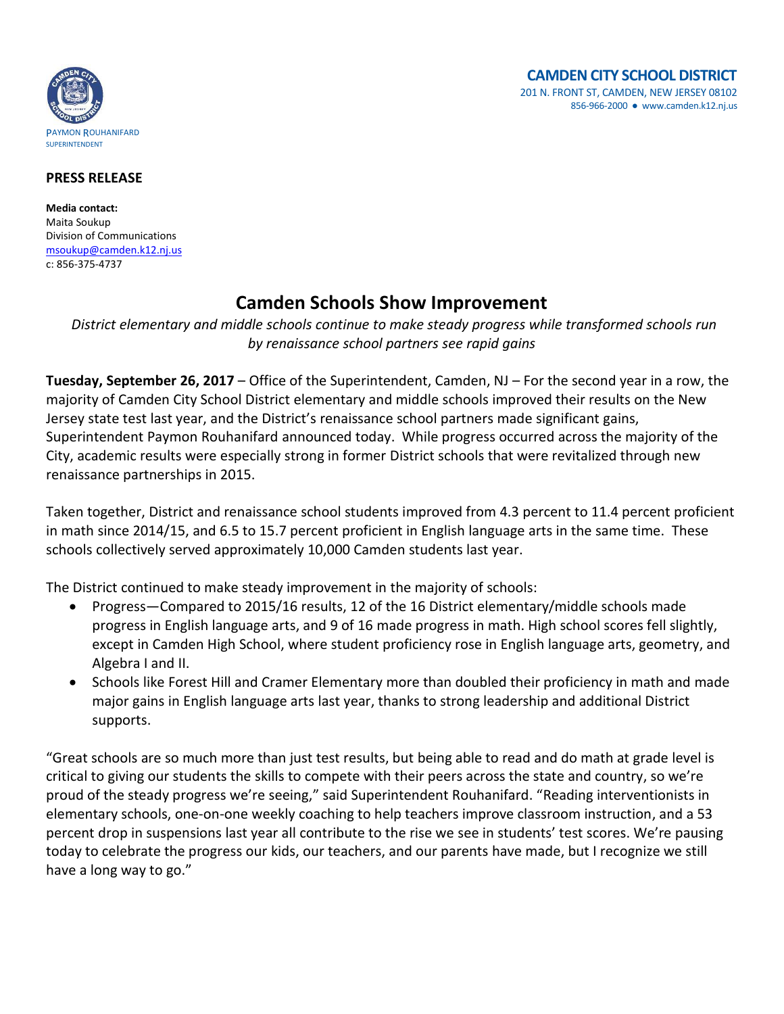

## **PRESS RELEASE**

**Media contact:** Maita Soukup Division of Communications [msoukup@camden.k12.nj.us](mailto:msoukup@camden.k12.nj.us) c: 856-375-4737

## **Camden Schools Show Improvement**

*District elementary and middle schools continue to make steady progress while transformed schools run by renaissance school partners see rapid gains*

**Tuesday, September 26, 2017** – Office of the Superintendent, Camden, NJ – For the second year in a row, the majority of Camden City School District elementary and middle schools improved their results on the New Jersey state test last year, and the District's renaissance school partners made significant gains, Superintendent Paymon Rouhanifard announced today. While progress occurred across the majority of the City, academic results were especially strong in former District schools that were revitalized through new renaissance partnerships in 2015.

Taken together, District and renaissance school students improved from 4.3 percent to 11.4 percent proficient in math since 2014/15, and 6.5 to 15.7 percent proficient in English language arts in the same time. These schools collectively served approximately 10,000 Camden students last year.

The District continued to make steady improvement in the majority of schools:

- Progress—Compared to 2015/16 results, 12 of the 16 District elementary/middle schools made progress in English language arts, and 9 of 16 made progress in math. High school scores fell slightly, except in Camden High School, where student proficiency rose in English language arts, geometry, and Algebra I and II.
- Schools like Forest Hill and Cramer Elementary more than doubled their proficiency in math and made major gains in English language arts last year, thanks to strong leadership and additional District supports.

"Great schools are so much more than just test results, but being able to read and do math at grade level is critical to giving our students the skills to compete with their peers across the state and country, so we're proud of the steady progress we're seeing," said Superintendent Rouhanifard. "Reading interventionists in elementary schools, one-on-one weekly coaching to help teachers improve classroom instruction, and a 53 percent drop in suspensions last year all contribute to the rise we see in students' test scores. We're pausing today to celebrate the progress our kids, our teachers, and our parents have made, but I recognize we still have a long way to go."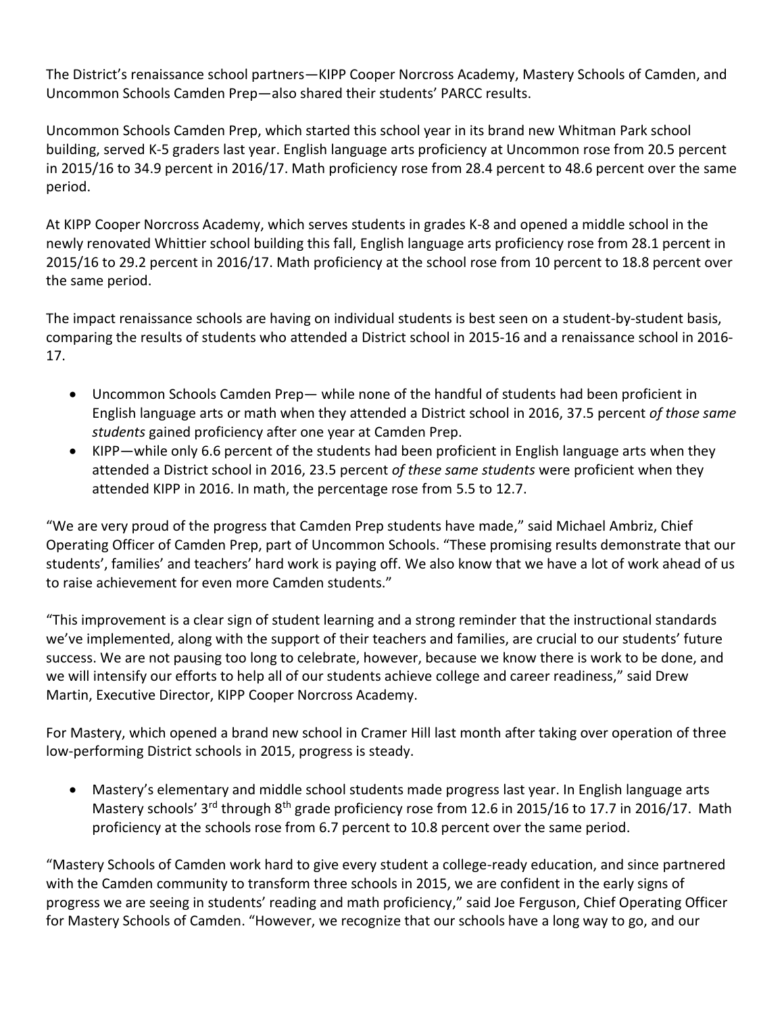The District's renaissance school partners—KIPP Cooper Norcross Academy, Mastery Schools of Camden, and Uncommon Schools Camden Prep—also shared their students' PARCC results.

Uncommon Schools Camden Prep, which started this school year in its brand new Whitman Park school building, served K-5 graders last year. English language arts proficiency at Uncommon rose from 20.5 percent in 2015/16 to 34.9 percent in 2016/17. Math proficiency rose from 28.4 percent to 48.6 percent over the same period.

At KIPP Cooper Norcross Academy, which serves students in grades K-8 and opened a middle school in the newly renovated Whittier school building this fall, English language arts proficiency rose from 28.1 percent in 2015/16 to 29.2 percent in 2016/17. Math proficiency at the school rose from 10 percent to 18.8 percent over the same period.

The impact renaissance schools are having on individual students is best seen on a student-by-student basis, comparing the results of students who attended a District school in 2015-16 and a renaissance school in 2016- 17.

- Uncommon Schools Camden Prep— while none of the handful of students had been proficient in English language arts or math when they attended a District school in 2016, 37.5 percent *of those same students* gained proficiency after one year at Camden Prep.
- KIPP—while only 6.6 percent of the students had been proficient in English language arts when they attended a District school in 2016, 23.5 percent *of these same students* were proficient when they attended KIPP in 2016. In math, the percentage rose from 5.5 to 12.7.

"We are very proud of the progress that Camden Prep students have made," said Michael Ambriz, Chief Operating Officer of Camden Prep, part of Uncommon Schools. "These promising results demonstrate that our students', families' and teachers' hard work is paying off. We also know that we have a lot of work ahead of us to raise achievement for even more Camden students."

"This improvement is a clear sign of student learning and a strong reminder that the instructional standards we've implemented, along with the support of their teachers and families, are crucial to our students' future success. We are not pausing too long to celebrate, however, because we know there is work to be done, and we will intensify our efforts to help all of our students achieve college and career readiness," said Drew Martin, Executive Director, KIPP Cooper Norcross Academy.

For Mastery, which opened a brand new school in Cramer Hill last month after taking over operation of three low-performing District schools in 2015, progress is steady.

 Mastery's elementary and middle school students made progress last year. In English language arts Mastery schools' 3<sup>rd</sup> through 8<sup>th</sup> grade proficiency rose from 12.6 in 2015/16 to 17.7 in 2016/17. Math proficiency at the schools rose from 6.7 percent to 10.8 percent over the same period.

"Mastery Schools of Camden work hard to give every student a college-ready education, and since partnered with the Camden community to transform three schools in 2015, we are confident in the early signs of progress we are seeing in students' reading and math proficiency," said Joe Ferguson, Chief Operating Officer for Mastery Schools of Camden. "However, we recognize that our schools have a long way to go, and our